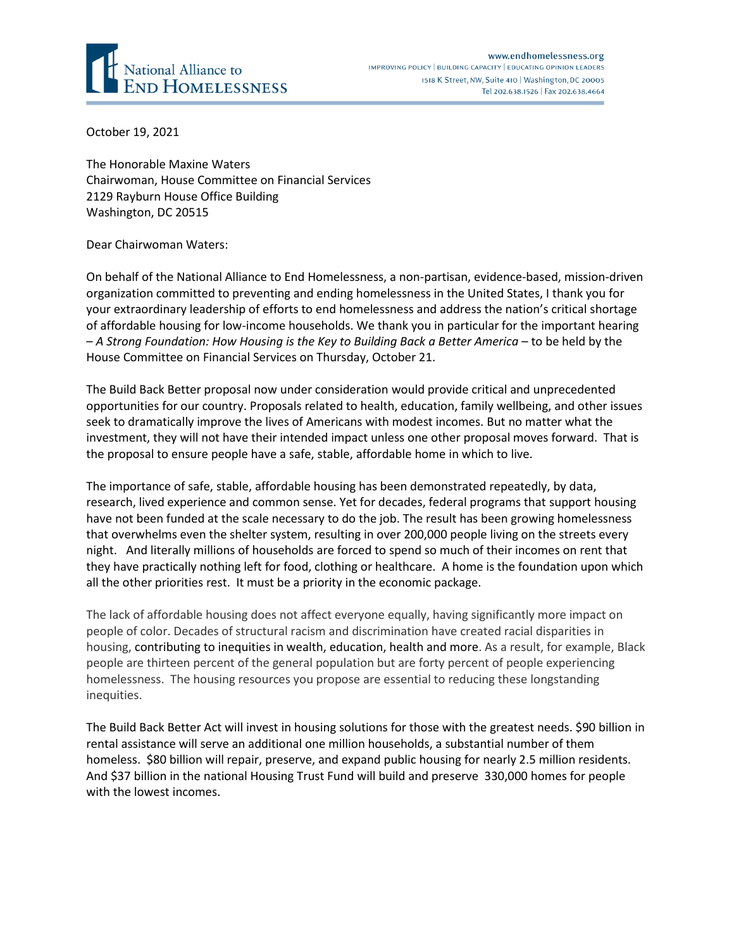

October 19, 2021

The Honorable Maxine Waters Chairwoman, House Committee on Financial Services 2129 Rayburn House Office Building Washington, DC 20515

Dear Chairwoman Waters:

On behalf of the National Alliance to End Homelessness, a non-partisan, evidence-based, mission-driven organization committed to preventing and ending homelessness in the United States, I thank you for your extraordinary leadership of efforts to end homelessness and address the nation's critical shortage of affordable housing for low-income households. We thank you in particular for the important hearing – *A Strong Foundation: How Housing is the Key to Building Back a Better America* – to be held by the House Committee on Financial Services on Thursday, October 21.

The Build Back Better proposal now under consideration would provide critical and unprecedented opportunities for our country. Proposals related to health, education, family wellbeing, and other issues seek to dramatically improve the lives of Americans with modest incomes. But no matter what the investment, they will not have their intended impact unless one other proposal moves forward. That is the proposal to ensure people have a safe, stable, affordable home in which to live.

The importance of safe, stable, affordable housing has been demonstrated repeatedly, by data, research, lived experience and common sense. Yet for decades, federal programs that support housing have not been funded at the scale necessary to do the job. The result has been growing homelessness that overwhelms even the shelter system, resulting in over 200,000 people living on the streets every night. And literally millions of households are forced to spend so much of their incomes on rent that they have practically nothing left for food, clothing or healthcare. A home is the foundation upon which all the other priorities rest. It must be a priority in the economic package.

The lack of affordable housing does not affect everyone equally, having significantly more impact on people of color. Decades of structural racism and discrimination have created racial disparities in housing, contributing to inequities in wealth, education, health and more. As a result, for example, Black people are thirteen percent of the general population but are forty percent of people experiencing homelessness. The housing resources you propose are essential to reducing these longstanding inequities.

The Build Back Better Act will invest in housing solutions for those with the greatest needs. \$90 billion in rental assistance will serve an additional one million households, a substantial number of them homeless. \$80 billion will repair, preserve, and expand public housing for nearly 2.5 million residents. And \$37 billion in the national Housing Trust Fund will build and preserve 330,000 homes for people with the lowest incomes.